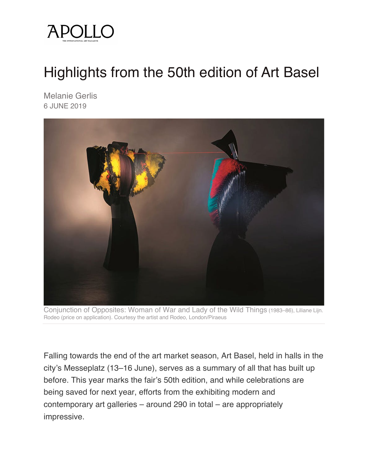

## Highlights from the 50th edition of Art Basel

Melanie Gerlis 6 JUNE 2019



Conjunction of Opposites: Woman of War and Lady of the Wild Things (1983–86), Liliane Lijn. Rodeo (price on application). Courtesy the artist and Rodeo, London/Piraeus

Falling towards the end of the art market season, Art Basel, held in halls in the city's Messeplatz (13–16 June), serves as a summary of all that has built up before. This year marks the fair's 50th edition, and while celebrations are being saved for next year, efforts from the exhibiting modern and contemporary art galleries – around 290 in total – are appropriately impressive.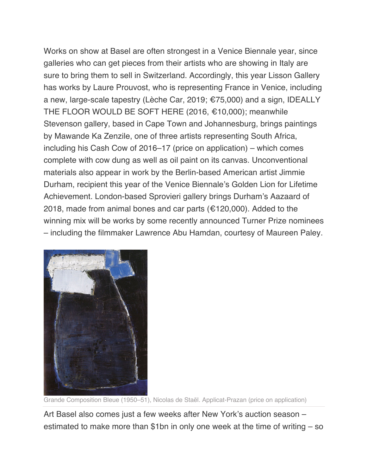Works on show at Basel are often strongest in a Venice Biennale year, since galleries who can get pieces from their artists who are showing in Italy are sure to bring them to sell in Switzerland. Accordingly, this year Lisson Gallery has works by Laure Prouvost, who is representing France in Venice, including a new, large-scale tapestry (Lèche Car, 2019; €75,000) and a sign, IDEALLY THE FLOOR WOULD BE SOFT HERE (2016, €10,000); meanwhile Stevenson gallery, based in Cape Town and Johannesburg, brings paintings by Mawande Ka Zenzile, one of three artists representing South Africa, including his Cash Cow of 2016–17 (price on application) – which comes complete with cow dung as well as oil paint on its canvas. Unconventional materials also appear in work by the Berlin-based American artist Jimmie Durham, recipient this year of the Venice Biennale's Golden Lion for Lifetime Achievement. London-based Sprovieri gallery brings Durham's Aazaard of 2018, made from animal bones and car parts ( $\epsilon$ 120,000). Added to the winning mix will be works by some recently announced Turner Prize nominees – including the filmmaker Lawrence Abu Hamdan, courtesy of Maureen Paley.



Grande Composition Bleue (1950–51), Nicolas de Staël. Applicat-Prazan (price on application)

Art Basel also comes just a few weeks after New York's auction season – estimated to make more than \$1bn in only one week at the time of writing – so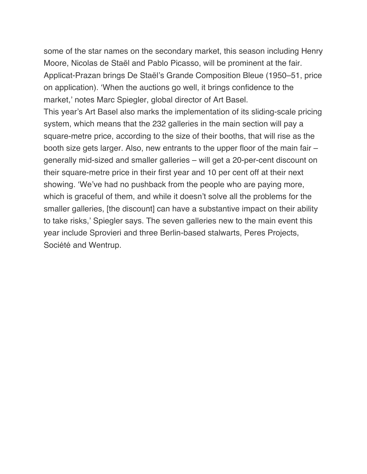some of the star names on the secondary market, this season including Henry Moore, Nicolas de Staël and Pablo Picasso, will be prominent at the fair. Applicat-Prazan brings De Staël's Grande Composition Bleue (1950–51, price on application). 'When the auctions go well, it brings confidence to the market,' notes Marc Spiegler, global director of Art Basel.

This year's Art Basel also marks the implementation of its sliding-scale pricing system, which means that the 232 galleries in the main section will pay a square-metre price, according to the size of their booths, that will rise as the booth size gets larger. Also, new entrants to the upper floor of the main fair – generally mid-sized and smaller galleries – will get a 20-per-cent discount on their square-metre price in their first year and 10 per cent off at their next showing. 'We've had no pushback from the people who are paying more, which is graceful of them, and while it doesn't solve all the problems for the smaller galleries, [the discount] can have a substantive impact on their ability to take risks,' Spiegler says. The seven galleries new to the main event this year include Sprovieri and three Berlin-based stalwarts, Peres Projects, Société and Wentrup.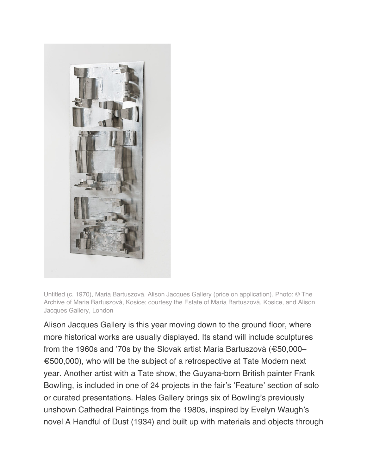

Untitled (c. 1970), Maria Bartuszová. Alison Jacques Gallery (price on application). Photo: © The Archive of Maria Bartuszová, Kosice; courtesy the Estate of Maria Bartuszová, Kosice, and Alison Jacques Gallery, London

Alison Jacques Gallery is this year moving down to the ground floor, where more historical works are usually displayed. Its stand will include sculptures from the 1960s and '70s by the Slovak artist Maria Bartuszová (€50,000– €500,000), who will be the subject of a retrospective at Tate Modern next year. Another artist with a Tate show, the Guyana-born British painter Frank Bowling, is included in one of 24 projects in the fair's 'Feature' section of solo or curated presentations. Hales Gallery brings six of Bowling's previously unshown Cathedral Paintings from the 1980s, inspired by Evelyn Waugh's novel A Handful of Dust (1934) and built up with materials and objects through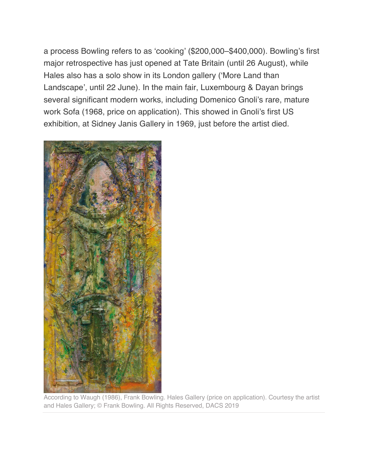a process Bowling refers to as 'cooking' (\$200,000–\$400,000). Bowling's first major retrospective has just opened at Tate Britain (until 26 August), while Hales also has a solo show in its London gallery ('More Land than Landscape', until 22 June). In the main fair, Luxembourg & Dayan brings several significant modern works, including Domenico Gnoli's rare, mature work Sofa (1968, price on application). This showed in Gnoli's first US exhibition, at Sidney Janis Gallery in 1969, just before the artist died.



According to Waugh (1986), Frank Bowling. Hales Gallery (price on application). Courtesy the artist and Hales Gallery; © Frank Bowling. All Rights Reserved, DACS 2019